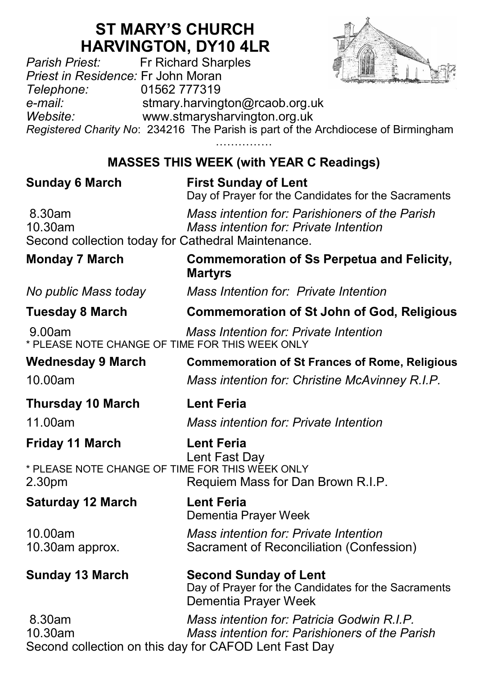# **ST MARY'S CHURCH HARVINGTON, DY10 4LR**<br>*Parish Priest:* Fr Richard Sharples



*Parish Priest:* Fr Richard Sharples *Priest in Residence:* Fr John Moran *Telephone:* 01562 777319 *e-mail:* stmary.harvington@rcaob.org.uk *Website:* www.stmarysharvington.org.uk *Registered Charity No*: 234216 The Parish is part of the Archdiocese of Birmingham ………………… **MASSES THIS WEEK (with YEAR C Readings)** 

| <b>Sunday 6 March</b>                                                      | <b>First Sunday of Lent</b><br>Day of Prayer for the Candidates for the Sacraments                          |
|----------------------------------------------------------------------------|-------------------------------------------------------------------------------------------------------------|
| 8.30am<br>10.30am<br>Second collection today for Cathedral Maintenance.    | Mass intention for: Parishioners of the Parish<br>Mass intention for: Private Intention                     |
| <b>Monday 7 March</b>                                                      | <b>Commemoration of Ss Perpetua and Felicity,</b><br><b>Martyrs</b>                                         |
| No public Mass today                                                       | Mass Intention for: Private Intention                                                                       |
| <b>Tuesday 8 March</b>                                                     | <b>Commemoration of St John of God, Religious</b>                                                           |
| 9.00am<br>* PLEASE NOTE CHANGE OF TIME FOR THIS WEEK ONLY                  | Mass Intention for: Private Intention                                                                       |
| <b>Wednesday 9 March</b>                                                   | <b>Commemoration of St Frances of Rome, Religious</b>                                                       |
| 10.00am                                                                    | Mass intention for: Christine McAvinney R.I.P.                                                              |
| <b>Thursday 10 March</b>                                                   | <b>Lent Feria</b>                                                                                           |
| 11.00am                                                                    | Mass intention for: Private Intention                                                                       |
| <b>Friday 11 March</b>                                                     | <b>Lent Feria</b><br>Lent Fast Day                                                                          |
| * PLEASE NOTE CHANGE OF TIME FOR THIS WEEK ONLY<br>2.30pm                  | Requiem Mass for Dan Brown R.I.P.                                                                           |
| <b>Saturday 12 March</b>                                                   | <b>Lent Feria</b><br>Dementia Prayer Week                                                                   |
| 10.00am<br>10.30am approx.                                                 | Mass intention for: Private Intention<br>Sacrament of Reconciliation (Confession)                           |
| <b>Sunday 13 March</b>                                                     | <b>Second Sunday of Lent</b><br>Day of Prayer for the Candidates for the Sacraments<br>Dementia Prayer Week |
| 8.30am<br>10.30am<br>Second collection on this day for CAFOD Lent Fast Day | Mass intention for: Patricia Godwin R.I.P.<br>Mass intention for: Parishioners of the Parish                |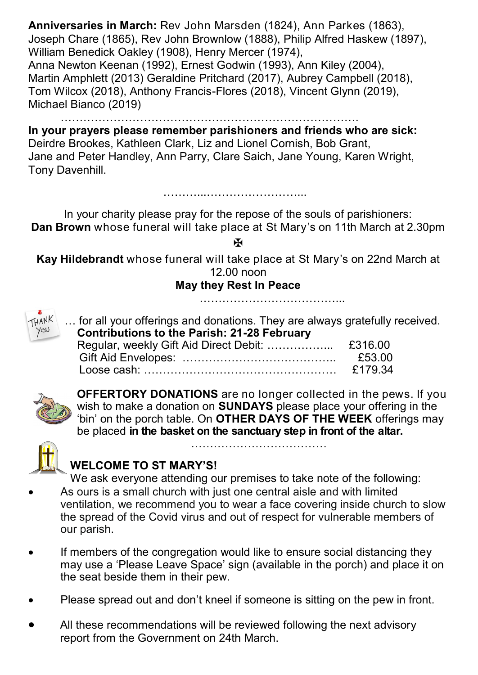**Anniversaries in March:** Rev John Marsden (1824), Ann Parkes (1863), Joseph Chare (1865), Rev John Brownlow (1888), Philip Alfred Haskew (1897), William Benedick Oakley (1908), Henry Mercer (1974), Anna Newton Keenan (1992), Ernest Godwin (1993), Ann Kiley (2004), Martin Amphlett (2013) Geraldine Pritchard (2017), Aubrey Campbell (2018), Tom Wilcox (2018), Anthony Francis-Flores (2018), Vincent Glynn (2019), Michael Bianco (2019)

……………………………………………………………………. **In your prayers please remember parishioners and friends who are sick:**  Deirdre Brookes, Kathleen Clark, Liz and Lionel Cornish, Bob Grant, Jane and Peter Handley, Ann Parry, Clare Saich, Jane Young, Karen Wright,

Tony Davenhill.

………...……………………...

In your charity please pray for the repose of the souls of parishioners: **Dan Brown** whose funeral will take place at St Mary's on 11th March at 2.30pm

**H** 

**Kay Hildebrandt** whose funeral will take place at St Mary's on 22nd March at 12.00 noon

## **May they Rest In Peace**

………………………………



… for all your offerings and donations. They are always gratefully received.  **Contributions to the Parish: 21-28 February**

|  | £53.00 |
|--|--------|
|  |        |



**OFFERTORY DONATIONS** are no longer collected in the pews. If you wish to make a donation on **SUNDAYS** please place your offering in the 'bin' on the porch table. On **OTHER DAYS OF THE WEEK** offerings may be placed **in the basket on the sanctuary step in front of the altar.** 

……………………………



#### **WELCOME TO ST MARY'S!**

We ask everyone attending our premises to take note of the following:

- As ours is a small church with just one central aisle and with limited ventilation, we recommend you to wear a face covering inside church to slow the spread of the Covid virus and out of respect for vulnerable members of our parish.
- If members of the congregation would like to ensure social distancing they may use a 'Please Leave Space' sign (available in the porch) and place it on the seat beside them in their pew.
- Please spread out and don't kneel if someone is sitting on the pew in front.
- All these recommendations will be reviewed following the next advisory report from the Government on 24th March.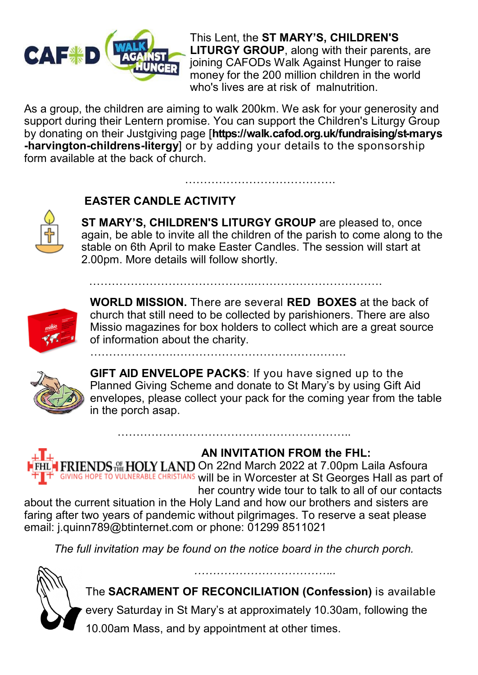

This Lent, the **ST MARY'S, CHILDREN'S LITURGY GROUP**, along with their parents, are joining CAFODs Walk Against Hunger to raise money for the 200 million children in the world who's lives are at risk of malnutrition.

As a group, the children are aiming to walk 200km. We ask for your generosity and support during their Lentern promise. You can support the Children's Liturgy Group by donating on their Justgiving page [**https://walk.cafod.org.uk/fundraising/st-marys -harvington-childrens-litergy**] or by adding your details to the sponsorship form available at the back of church.

……………………………………..…………………………….

………………….……………………………………….

## **EASTER CANDLE ACTIVITY**

**ST MARY'S, CHILDREN'S LITURGY GROUP** are pleased to, once again, be able to invite all the children of the parish to come along to the stable on 6th April to make Easter Candles. The session will start at 2.00pm. More details will follow shortly.

…………………………………………………



**WORLD MISSION.** There are several **RED BOXES** at the back of church that still need to be collected by parishioners. There are also Missio magazines for box holders to collect which are a great source of information about the charity.



**GIFT AID ENVELOPE PACKS**: If you have signed up to the Planned Giving Scheme and donate to St Mary's by using Gift Aid envelopes, please collect your pack for the coming year from the table in the porch asap.



## **AN INVITATION FROM the FHL:**

FHL FRIENDS FRIENDS THE HOLY LAND On 22nd March 2022 at 7.00pm Laila Asfoura **GIVING HOPE TO VULNERABLE CHRISTIANS WIll be in Worcester at St Georges Hall as part of** her country wide tour to talk to all of our contacts about the current situation in the Holy Land and how our brothers and sisters are faring after two years of pandemic without pilgrimages. To reserve a seat please

……………………………………………………..

email: j.quinn789@btinternet.com or phone: 01299 8511021

*The full invitation may be found on the notice board in the church porch.*



The **SACRAMENT OF RECONCILIATION (Confession)** is available

every Saturday in St Mary's at approximately 10.30am, following the

10.00am Mass, and by appointment at other times.